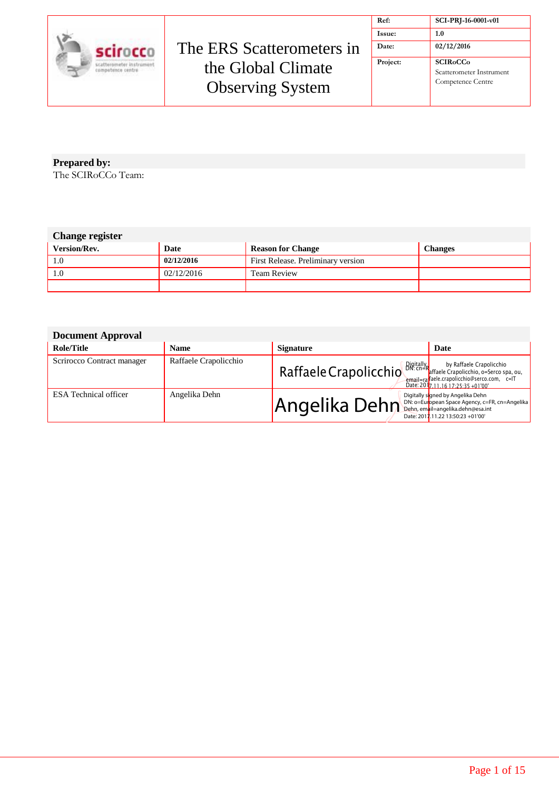

| Ref:     | SCI-PRJ-16-0001-v01                                                                    |
|----------|----------------------------------------------------------------------------------------|
| Issue:   | 1.0                                                                                    |
| Date:    | 02/12/2016                                                                             |
| Project: | <b>SCIR<sub>o</sub>CC<sub>o</sub></b><br>Scatterometer Instrument<br>Competence Centre |

The SCIRoCCo Team: **Prepared by:**

#### **Change register**

| <b>Version/Rev.</b> | Date       | <b>Reason for Change</b>           | Changes |
|---------------------|------------|------------------------------------|---------|
|                     | 02/12/2016 | First Release. Preliminary version |         |
|                     | 02/12/2016 | <b>Team Review</b>                 |         |
|                     |            |                                    |         |

#### **Document Approval**

| 200                        |                       |                                                                    |                                                                                  |
|----------------------------|-----------------------|--------------------------------------------------------------------|----------------------------------------------------------------------------------|
| Role/Title                 | <b>Name</b>           | <b>Signature</b>                                                   | Date                                                                             |
| Scrirocco Contract manager | Raffaele Crapolicchio | Raffaele Crapolicchio Bigitally by Raffaele Crapolicchio           | email=rafaele.crapolicchio@serco.com, c=IT<br>Date: 2017 11 16 17 25 35 + 01'00' |
| ESA Technical officer      | Angelika Dehn         | $Anqelika$ Dehn Dehn, empile an Space Agency, $c=FR$ , cn=Angelika | Digitally signed by Angelika Dehn<br>Date: 2017.11.22 13:50:23 +01'00'           |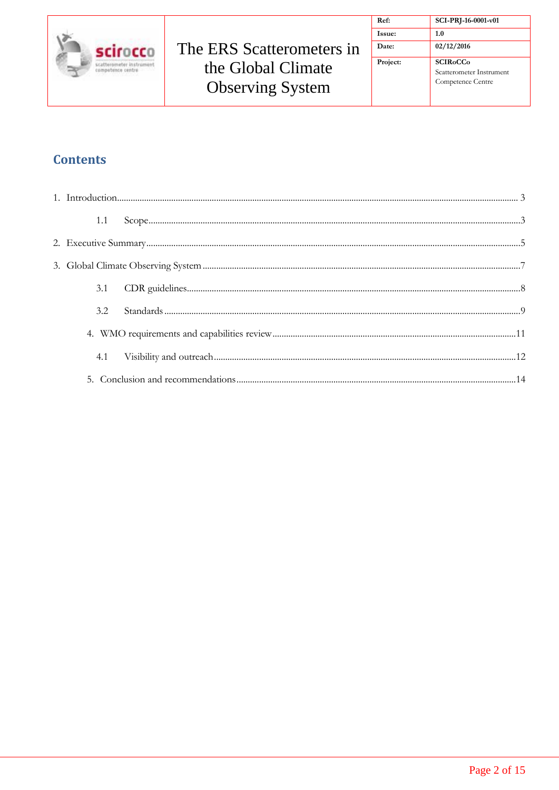

| Ref:          | SCI-PRJ-16-0001-v01                                                                     |
|---------------|-----------------------------------------------------------------------------------------|
| <b>Issue:</b> | 1.0                                                                                     |
| Date:         | 02/12/2016                                                                              |
| Project:      | <b>SCIR<sub>o</sub>CC</b> <sub>o</sub><br>Scatterometer Instrument<br>Competence Centre |

### **Contents**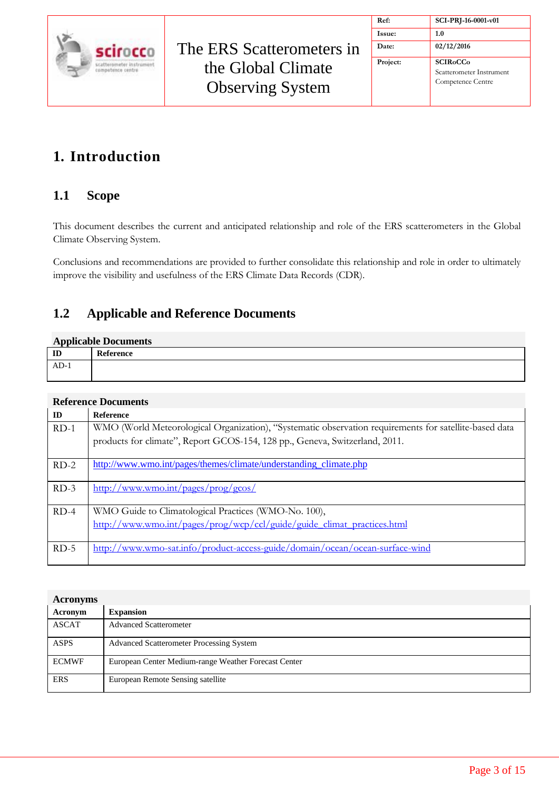

| Ref:     | SCI-PRJ-16-0001-v01                                              |
|----------|------------------------------------------------------------------|
| Issue:   | 1.0                                                              |
| Date:    | 02/12/2016                                                       |
| Project: | <b>SCIRoCCo</b><br>Scatterometer Instrument<br>Competence Centre |

## <span id="page-2-0"></span>**1. Introduction**

#### <span id="page-2-1"></span>**1.1 Scope**

This document describes the current and anticipated relationship and role of the ERS scatterometers in the Global Climate Observing System.

Conclusions and recommendations are provided to further consolidate this relationship and role in order to ultimately improve the visibility and usefulness of the ERS Climate Data Records (CDR).

### **1.2 Applicable and Reference Documents**

#### **Applicable Documents**

| $\mathbf{I}$ |  |
|--------------|--|
| AD-1         |  |

#### **Reference Documents**

| ID     | <b>Reference</b>                                                                                       |
|--------|--------------------------------------------------------------------------------------------------------|
| $RD-1$ | WMO (World Meteorological Organization), "Systematic observation requirements for satellite-based data |
|        | products for climate", Report GCOS-154, 128 pp., Geneva, Switzerland, 2011.                            |
| $RD-2$ | http://www.wmo.int/pages/themes/climate/understanding_climate.php                                      |
| $RD-3$ | http://www.wmo.int/pages/prog/gcos/                                                                    |
| $RD-4$ | WMO Guide to Climatological Practices (WMO-No. 100),                                                   |
|        | http://www.wmo.int/pages/prog/wcp/ccl/guide/guide_climat_practices.html                                |
| $RD-5$ | http://www.wmo-sat.info/product-access-guide/domain/ocean/ocean-surface-wind                           |

| <b>Acronyms</b> |                                                      |
|-----------------|------------------------------------------------------|
| Acronym         | <b>Expansion</b>                                     |
| <b>ASCAT</b>    | <b>Advanced Scatterometer</b>                        |
| <b>ASPS</b>     | <b>Advanced Scatterometer Processing System</b>      |
| <b>ECMWF</b>    | European Center Medium-range Weather Forecast Center |
| <b>ERS</b>      | European Remote Sensing satellite                    |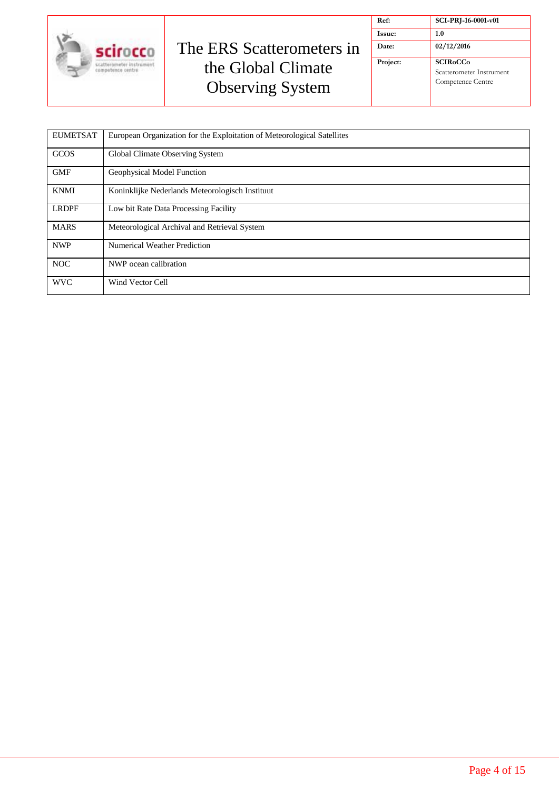

| Ref:     | SCI-PRJ-16-0001-v01                                              |
|----------|------------------------------------------------------------------|
| Issue:   | 1.0                                                              |
| Date:    | 02/12/2016                                                       |
| Project: | <b>SCIRoCCo</b><br>Scatterometer Instrument<br>Competence Centre |

| <b>EUMETSAT</b> | European Organization for the Exploitation of Meteorological Satellites |
|-----------------|-------------------------------------------------------------------------|
| <b>GCOS</b>     | Global Climate Observing System                                         |
| <b>GMF</b>      | Geophysical Model Function                                              |
| <b>KNMI</b>     | Koninklijke Nederlands Meteorologisch Instituut                         |
| <b>LRDPF</b>    | Low bit Rate Data Processing Facility                                   |
| <b>MARS</b>     | Meteorological Archival and Retrieval System                            |
| <b>NWP</b>      | Numerical Weather Prediction                                            |
| <b>NOC</b>      | NWP ocean calibration                                                   |
| <b>WVC</b>      | Wind Vector Cell                                                        |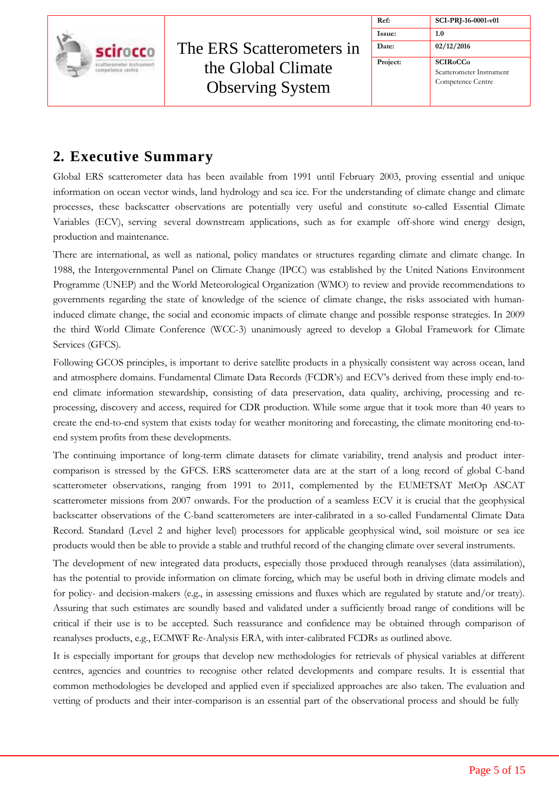|                                               |                                               | Ref:     | SCI-PRJ-16-0001-v01                                                                    |
|-----------------------------------------------|-----------------------------------------------|----------|----------------------------------------------------------------------------------------|
|                                               |                                               | Issue:   | 1.0                                                                                    |
| scirocco                                      | The ERS Scatterometers in                     | Date:    | 02/12/2016                                                                             |
| scatterometer instrument<br>competence centre | the Global Climate<br><b>Observing System</b> | Project: | <b>SCIR<sub>o</sub>CC<sub>o</sub></b><br>Scatterometer Instrument<br>Competence Centre |

## <span id="page-4-0"></span>**2. Executive Summary**

Global ERS scatterometer data has been available from 1991 until February 2003, proving essential and unique information on ocean vector winds, land hydrology and sea ice. For the understanding of climate change and climate processes, these backscatter observations are potentially very useful and constitute so-called Essential Climate Variables (ECV), serving several downstream applications, such as for example off-shore wind energy design, production and maintenance.

There are international, as well as national, policy mandates or structures regarding climate and climate change. In 1988, the Intergovernmental Panel on Climate Change (IPCC) was established by the United Nations Environment Programme (UNEP) and the World Meteorological Organization (WMO) to review and provide recommendations to governments regarding the state of knowledge of the science of climate change, the risks associated with humaninduced climate change, the social and economic impacts of climate change and possible response strategies. In 2009 the third World Climate Conference (WCC-3) unanimously agreed to develop a Global Framework for Climate Services (GFCS).

Following GCOS principles, is important to derive satellite products in a physically consistent way across ocean, land and atmosphere domains. Fundamental Climate Data Records (FCDR's) and ECV's derived from these imply end-toend climate information stewardship, consisting of data preservation, data quality, archiving, processing and reprocessing, discovery and access, required for CDR production. While some argue that it took more than 40 years to create the end-to-end system that exists today for weather monitoring and forecasting, the climate monitoring end-toend system profits from these developments.

The continuing importance of long-term climate datasets for climate variability, trend analysis and product intercomparison is stressed by the GFCS. ERS scatterometer data are at the start of a long record of global C-band scatterometer observations, ranging from 1991 to 2011, complemented by the EUMETSAT MetOp ASCAT scatterometer missions from 2007 onwards. For the production of a seamless ECV it is crucial that the geophysical backscatter observations of the C-band scatterometers are inter-calibrated in a so-called Fundamental Climate Data Record. Standard (Level 2 and higher level) processors for applicable geophysical wind, soil moisture or sea ice products would then be able to provide a stable and truthful record of the changing climate over several instruments.

The development of new integrated data products, especially those produced through reanalyses (data assimilation), has the potential to provide information on climate forcing, which may be useful both in driving climate models and for policy- and decision-makers (e.g., in assessing emissions and fluxes which are regulated by statute and/or treaty). Assuring that such estimates are soundly based and validated under a sufficiently broad range of conditions will be critical if their use is to be accepted. Such reassurance and confidence may be obtained through comparison of reanalyses products, e.g., ECMWF Re-Analysis ERA, with inter-calibrated FCDRs as outlined above.

It is especially important for groups that develop new methodologies for retrievals of physical variables at different centres, agencies and countries to recognise other related developments and compare results. It is essential that common methodologies be developed and applied even if specialized approaches are also taken. The evaluation and vetting of products and their inter-comparison is an essential part of the observational process and should be fully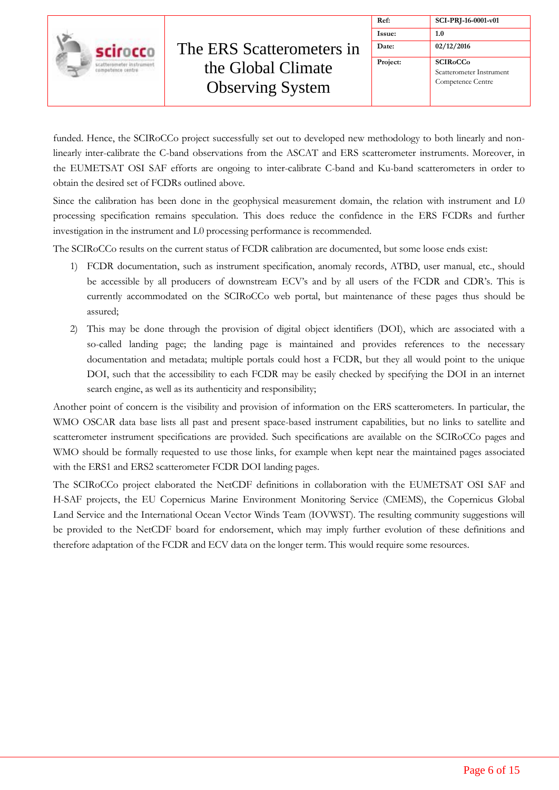

| Ref:          | SCI-PRJ-16-0001-v01                                              |
|---------------|------------------------------------------------------------------|
| <b>Issue:</b> | 1.0                                                              |
| Date:         | 02/12/2016                                                       |
| Project:      | <b>SCIRoCCo</b><br>Scatterometer Instrument<br>Competence Centre |

funded. Hence, the SCIRoCCo project successfully set out to developed new methodology to both linearly and nonlinearly inter-calibrate the C-band observations from the ASCAT and ERS scatterometer instruments. Moreover, in the EUMETSAT OSI SAF efforts are ongoing to inter-calibrate C-band and Ku-band scatterometers in order to obtain the desired set of FCDRs outlined above.

Since the calibration has been done in the geophysical measurement domain, the relation with instrument and L0 processing specification remains speculation. This does reduce the confidence in the ERS FCDRs and further investigation in the instrument and L0 processing performance is recommended.

The SCIRoCCo results on the current status of FCDR calibration are documented, but some loose ends exist:

- 1) FCDR documentation, such as instrument specification, anomaly records, ATBD, user manual, etc., should be accessible by all producers of downstream ECV's and by all users of the FCDR and CDR's. This is currently accommodated on the SCIRoCCo web portal, but maintenance of these pages thus should be assured;
- 2) This may be done through the provision of digital object identifiers (DOI), which are associated with a so-called landing page; the landing page is maintained and provides references to the necessary documentation and metadata; multiple portals could host a FCDR, but they all would point to the unique DOI, such that the accessibility to each FCDR may be easily checked by specifying the DOI in an internet search engine, as well as its authenticity and responsibility;

Another point of concern is the visibility and provision of information on the ERS scatterometers. In particular, the WMO OSCAR data base lists all past and present space-based instrument capabilities, but no links to satellite and scatterometer instrument specifications are provided. Such specifications are available on the SCIRoCCo pages and WMO should be formally requested to use those links, for example when kept near the maintained pages associated with the ERS1 and ERS2 scatterometer FCDR DOI landing pages.

The SCIRoCCo project elaborated the NetCDF definitions in collaboration with the EUMETSAT OSI SAF and H-SAF projects, the EU Copernicus Marine Environment Monitoring Service (CMEMS), the Copernicus Global Land Service and the International Ocean Vector Winds Team (IOVWST). The resulting community suggestions will be provided to the NetCDF board for endorsement, which may imply further evolution of these definitions and therefore adaptation of the FCDR and ECV data on the longer term. This would require some resources.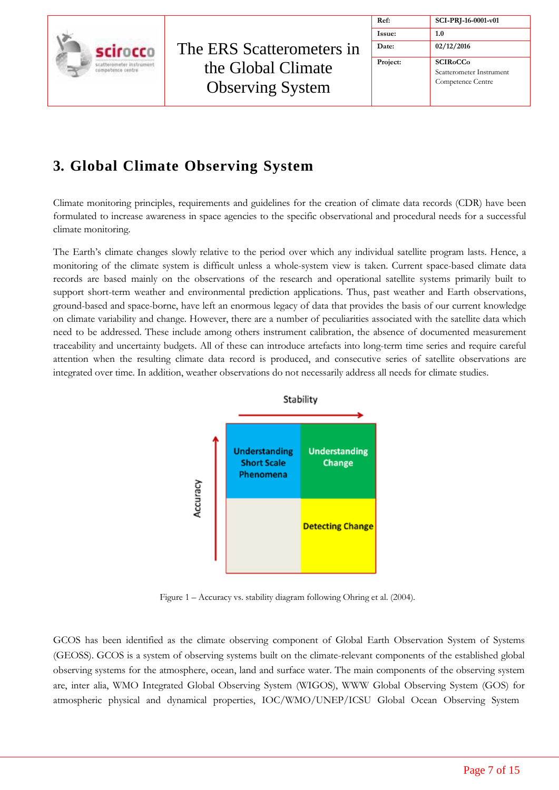

| Ref:     | SCI-PRJ-16-0001-v01                                                                    |
|----------|----------------------------------------------------------------------------------------|
| Issue:   | 1.0                                                                                    |
| Date:    | 02/12/2016                                                                             |
| Project: | <b>SCIR<sub>o</sub>CC<sub>o</sub></b><br>Scatterometer Instrument<br>Competence Centre |

# <span id="page-6-0"></span>**3. Global Climate Observing System**

Climate monitoring principles, requirements and guidelines for the creation of climate data records (CDR) have been formulated to increase awareness in space agencies to the specific observational and procedural needs for a successful climate monitoring.

The Earth's climate changes slowly relative to the period over which any individual satellite program lasts. Hence, a monitoring of the climate system is difficult unless a whole-system view is taken. Current space-based climate data records are based mainly on the observations of the research and operational satellite systems primarily built to support short-term weather and environmental prediction applications. Thus, past weather and Earth observations, ground-based and space-borne, have left an enormous legacy of data that provides the basis of our current knowledge on climate variability and change. However, there are a number of peculiarities associated with the satellite data which need to be addressed. These include among others instrument calibration, the absence of documented measurement traceability and uncertainty budgets. All of these can introduce artefacts into long-term time series and require careful attention when the resulting climate data record is produced, and consecutive series of satellite observations are integrated over time. In addition, weather observations do not necessarily address all needs for climate studies.



Figure 1 – Accuracy vs. stability diagram following Ohring et al. (2004).

GCOS has been identified as the climate observing component of Global Earth Observation System of Systems (GEOSS). GCOS is a system of observing systems built on the climate-relevant components of the established global observing systems for the atmosphere, ocean, land and surface water. The main components of the observing system are, inter alia, WMO Integrated Global Observing System (WIGOS), WWW Global Observing System (GOS) for atmospheric physical and dynamical properties, IOC/WMO/UNEP/ICSU Global Ocean Observing System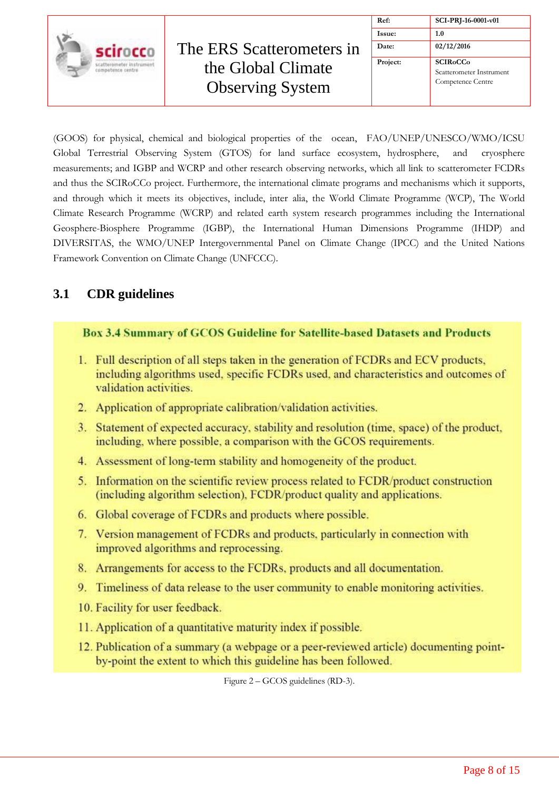

| Ref:     | SCI-PRJ-16-0001-v01                                              |
|----------|------------------------------------------------------------------|
| Issue:   | 1.0                                                              |
| Date:    | 02/12/2016                                                       |
| Project: | <b>SCIRoCCo</b><br>Scatterometer Instrument<br>Competence Centre |

(GOOS) for physical, chemical and biological properties of the ocean, FAO/UNEP/UNESCO/WMO/ICSU Global Terrestrial Observing System (GTOS) for land surface ecosystem, hydrosphere, and cryosphere measurements; and IGBP and WCRP and other research observing networks, which all link to scatterometer FCDRs and thus the SCIRoCCo project. Furthermore, the international climate programs and mechanisms which it supports, and through which it meets its objectives, include, inter alia, the World Climate Programme (WCP), The World Climate Research Programme (WCRP) and related earth system research programmes including the International Geosphere-Biosphere Programme (IGBP), the International Human Dimensions Programme (IHDP) and DIVERSITAS, the WMO/UNEP Intergovernmental Panel on Climate Change (IPCC) and the United Nations Framework Convention on Climate Change (UNFCCC).

### <span id="page-7-0"></span>**3.1 CDR guidelines**

#### **Box 3.4 Summary of GCOS Guideline for Satellite-based Datasets and Products**

- 1. Full description of all steps taken in the generation of FCDRs and ECV products, including algorithms used, specific FCDRs used, and characteristics and outcomes of validation activities.
- 2. Application of appropriate calibration/validation activities.
- 3. Statement of expected accuracy, stability and resolution (time, space) of the product, including, where possible, a comparison with the GCOS requirements.
- 4. Assessment of long-term stability and homogeneity of the product.
- 5. Information on the scientific review process related to FCDR/product construction (including algorithm selection), FCDR/product quality and applications.
- 6. Global coverage of FCDRs and products where possible.
- 7. Version management of FCDRs and products, particularly in connection with improved algorithms and reprocessing.
- 8. Arrangements for access to the FCDRs, products and all documentation.
- 9. Timeliness of data release to the user community to enable monitoring activities.
- 10. Facility for user feedback.
- 11. Application of a quantitative maturity index if possible.
- 12. Publication of a summary (a webpage or a peer-reviewed article) documenting pointby-point the extent to which this guideline has been followed.

Figure 2 – GCOS guidelines (RD-3).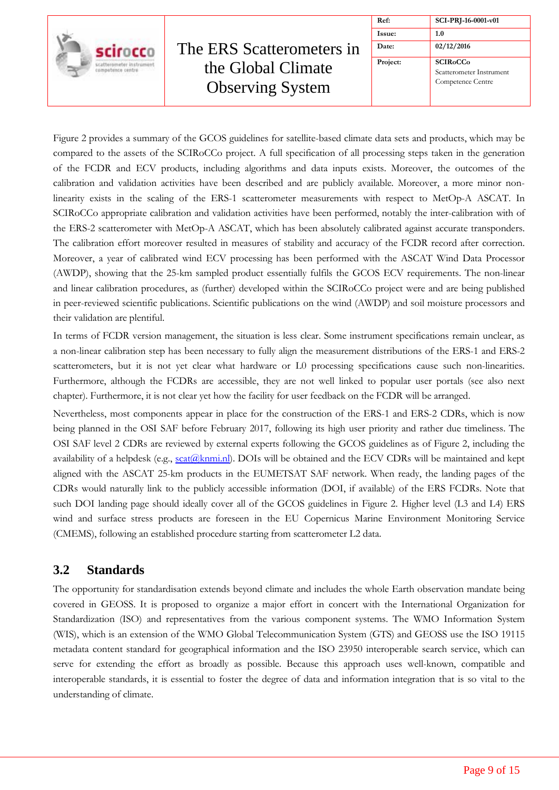

| Ref:     | SCI-PRJ-16-0001-v01                                              |
|----------|------------------------------------------------------------------|
| Issue:   | 1.0                                                              |
| Date:    | 02/12/2016                                                       |
| Project: | <b>SCIRoCCo</b><br>Scatterometer Instrument<br>Competence Centre |

Figure 2 provides a summary of the GCOS guidelines for satellite-based climate data sets and products, which may be compared to the assets of the SCIRoCCo project. A full specification of all processing steps taken in the generation of the FCDR and ECV products, including algorithms and data inputs exists. Moreover, the outcomes of the calibration and validation activities have been described and are publicly available. Moreover, a more minor nonlinearity exists in the scaling of the ERS-1 scatterometer measurements with respect to MetOp-A ASCAT. In SCIRoCCo appropriate calibration and validation activities have been performed, notably the inter-calibration with of the ERS-2 scatterometer with MetOp-A ASCAT, which has been absolutely calibrated against accurate transponders. The calibration effort moreover resulted in measures of stability and accuracy of the FCDR record after correction. Moreover, a year of calibrated wind ECV processing has been performed with the ASCAT Wind Data Processor (AWDP), showing that the 25-km sampled product essentially fulfils the GCOS ECV requirements. The non-linear and linear calibration procedures, as (further) developed within the SCIRoCCo project were and are being published in peer-reviewed scientific publications. Scientific publications on the wind (AWDP) and soil moisture processors and their validation are plentiful.

In terms of FCDR version management, the situation is less clear. Some instrument specifications remain unclear, as a non-linear calibration step has been necessary to fully align the measurement distributions of the ERS-1 and ERS-2 scatterometers, but it is not yet clear what hardware or L0 processing specifications cause such non-linearities. Furthermore, although the FCDRs are accessible, they are not well linked to popular user portals (see also next chapter). Furthermore, it is not clear yet how the facility for user feedback on the FCDR will be arranged.

Nevertheless, most components appear in place for the construction of the ERS-1 and ERS-2 CDRs, which is now being planned in the OSI SAF before February 2017, following its high user priority and rather due timeliness. The OSI SAF level 2 CDRs are reviewed by external experts following the GCOS guidelines as of Figure 2, including the availability of a helpdesk (e.g., scat(@knmi.nl). DOIs will be obtained and the ECV CDRs will be maintained and kept aligned with the ASCAT 25-km products in the EUMETSAT SAF network. When ready, the landing pages of the CDRs would naturally link to the publicly accessible information (DOI, if available) of the ERS FCDRs. Note that such DOI landing page should ideally cover all of the GCOS guidelines in Figure 2. Higher level (L3 and L4) ERS wind and surface stress products are foreseen in the EU Copernicus Marine Environment Monitoring Service (CMEMS), following an established procedure starting from scatterometer L2 data.

#### <span id="page-8-0"></span>**3.2 Standards**

The opportunity for standardisation extends beyond climate and includes the whole Earth observation mandate being covered in GEOSS. It is proposed to organize a major effort in concert with the International Organization for Standardization (ISO) and representatives from the various component systems. The WMO Information System (WIS), which is an extension of the WMO Global Telecommunication System (GTS) and GEOSS use the ISO 19115 metadata content standard for geographical information and the ISO 23950 interoperable search service, which can serve for extending the effort as broadly as possible. Because this approach uses well-known, compatible and interoperable standards, it is essential to foster the degree of data and information integration that is so vital to the understanding of climate.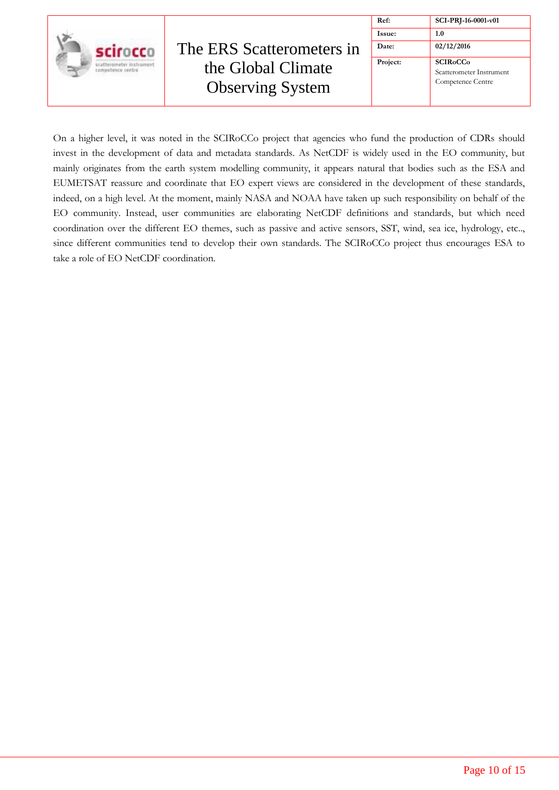

| Ref:     | SCI-PRJ-16-0001-v01                                               |
|----------|-------------------------------------------------------------------|
| Issue:   | 1.0                                                               |
| Date:    | 02/12/2016                                                        |
| Project: | <b>SCIR<sub>o</sub>CC<sub>o</sub></b><br>Scatterometer Instrument |

On a higher level, it was noted in the SCIRoCCo project that agencies who fund the production of CDRs should invest in the development of data and metadata standards. As NetCDF is widely used in the EO community, but mainly originates from the earth system modelling community, it appears natural that bodies such as the ESA and EUMETSAT reassure and coordinate that EO expert views are considered in the development of these standards, indeed, on a high level. At the moment, mainly NASA and NOAA have taken up such responsibility on behalf of the EO community. Instead, user communities are elaborating NetCDF definitions and standards, but which need coordination over the different EO themes, such as passive and active sensors, SST, wind, sea ice, hydrology, etc.., since different communities tend to develop their own standards. The SCIRoCCo project thus encourages ESA to take a role of EO NetCDF coordination.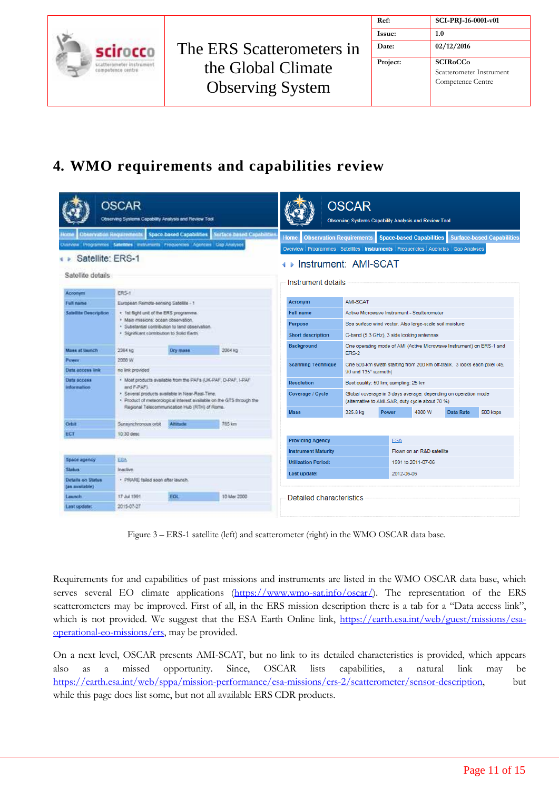|                                               |                           | Ref:     | SCI-PRJ-16-0001-v01                         |
|-----------------------------------------------|---------------------------|----------|---------------------------------------------|
|                                               |                           | Issue:   | 1.0                                         |
| scirocco                                      | The ERS Scatterometers in | Date:    | 02/12/2016                                  |
| scatterometer instrument<br>competence centre | the Global Climate        | Project: | <b>SCIRoCCo</b><br>Scatterometer Instrument |
|                                               | <b>Observing System</b>   |          | Competence Centre                           |

# <span id="page-10-0"></span>**4. WMO requirements and capabilities review**

|                                                                                                        | <b>OSCAR</b><br>Observing Systems Copobility Analysis and Review Tool                         |                          |                                                                       |                                                                              | <b>OSCAR</b><br>Observing Systems Capability Analysis and Review Tool                                             |                                                                          |                                 |                  |                                   |
|--------------------------------------------------------------------------------------------------------|-----------------------------------------------------------------------------------------------|--------------------------|-----------------------------------------------------------------------|------------------------------------------------------------------------------|-------------------------------------------------------------------------------------------------------------------|--------------------------------------------------------------------------|---------------------------------|------------------|-----------------------------------|
| Observation Requirements<br><b>Home</b>                                                                |                                                                                               | Space based Capabilities | Stirface Dated Capabilities                                           | Home                                                                         | <b>Observation Requirements</b>                                                                                   |                                                                          | <b>Space-based Capabilities</b> |                  | <b>Surface-based Capabilities</b> |
|                                                                                                        | Dvarviow Programmes Satellites instruments Frequencies Agencies Cap Analysee                  |                          |                                                                       | Overview Programmes Satellites Instruments Frequencies Agencies Gap Analyses |                                                                                                                   |                                                                          |                                 |                  |                                   |
| Satellite: ERS-1                                                                                       |                                                                                               |                          |                                                                       | I ⊳ Instrument: AMI-SCAT                                                     |                                                                                                                   |                                                                          |                                 |                  |                                   |
| Satellite details                                                                                      |                                                                                               |                          |                                                                       |                                                                              |                                                                                                                   |                                                                          |                                 |                  |                                   |
|                                                                                                        |                                                                                               |                          |                                                                       | Instrument details                                                           |                                                                                                                   |                                                                          |                                 |                  |                                   |
| Acronym                                                                                                | ERS-1                                                                                         |                          |                                                                       | <b>Acronym</b>                                                               | AMI-SCAT                                                                                                          |                                                                          |                                 |                  |                                   |
| Full name                                                                                              | European Remote-sensing Satellite - 1                                                         |                          |                                                                       | <b>Full name</b>                                                             | Active Microwave Instrument - Scatterometer                                                                       |                                                                          |                                 |                  |                                   |
| Sabilite Description<br>+ 1st flight unit of the ERS programme.<br>· Main missions: ocean observation. |                                                                                               | <b>Purpose</b>           |                                                                       |                                                                              |                                                                                                                   |                                                                          |                                 |                  |                                   |
|                                                                                                        | · Substantial contribution to land observation.<br>. Significant contribution to Solid Earth. |                          | <b>Short description</b>                                              |                                                                              | Sea surface wind vector. Also large-scale soil moisture<br>C-band (5.3 GHz), 3 side looking antennas              |                                                                          |                                 |                  |                                   |
|                                                                                                        |                                                                                               |                          | Background                                                            |                                                                              | One operating mode of AMI (Active Microwave Instrument) on ERS-1 and                                              |                                                                          |                                 |                  |                                   |
| Mass at launch                                                                                         | 2364 kg                                                                                       | Dry mass                 | 2084 kg                                                               |                                                                              | <b>ERS-2</b>                                                                                                      |                                                                          |                                 |                  |                                   |
| Power                                                                                                  | 2000 W                                                                                        |                          |                                                                       | <b>Scanning Technique</b>                                                    |                                                                                                                   | One 500-km swath starting from 200 km off-track. 3 looks each pixel (45, |                                 |                  |                                   |
| <b>Data access link</b>                                                                                | no link provided                                                                              |                          |                                                                       |                                                                              | 90 and 135° azimuth)                                                                                              |                                                                          |                                 |                  |                                   |
| <b>Data access</b><br>information                                                                      | and F-PAF)                                                                                    |                          | . Most products available from the PAF's (UK-PAF, D-PAF, I-PAF        | <b>Resolution</b>                                                            |                                                                                                                   | Best quality: 50 km; sampling: 25 km                                     |                                 |                  |                                   |
|                                                                                                        | . Several products available in Near-Real-Time.                                               |                          | . Product of meteorological interest syallable on the GTS through the | Coverage / Cycle                                                             | Global coverage in 3 days average, depending on operation mode<br>(alternative to AMI-SAR, duty cycle about 70 %) |                                                                          |                                 |                  |                                   |
|                                                                                                        | Regional Telecommunication Hub (RTH) of Rome.                                                 |                          |                                                                       | <b>Mass</b>                                                                  | 325.8 kg                                                                                                          | Power                                                                    | 4800 W                          | <b>Data Rate</b> | 500 kbps                          |
| Orbit                                                                                                  | Sunsynchronous orbit                                                                          | Altitude                 | 765 km                                                                |                                                                              |                                                                                                                   |                                                                          |                                 |                  |                                   |
| ECT                                                                                                    | 10:30 desc                                                                                    |                          |                                                                       |                                                                              |                                                                                                                   |                                                                          |                                 |                  |                                   |
|                                                                                                        |                                                                                               |                          |                                                                       | <b>Providing Agency</b>                                                      |                                                                                                                   | <b>ESA</b>                                                               |                                 |                  |                                   |
| Space agency                                                                                           | <b>EGA</b>                                                                                    |                          |                                                                       | <b>Instrument Maturity</b>                                                   |                                                                                                                   |                                                                          | Flown on an R&D satellite       |                  |                                   |
| <b>Status</b>                                                                                          | Inactive                                                                                      |                          |                                                                       | <b>Utilization Period:</b>                                                   |                                                                                                                   |                                                                          | 1991 to 2011-07-06              |                  |                                   |
| Details on Status<br>(an available)                                                                    | · PRARE tailed soon after launch.                                                             |                          |                                                                       | Last update:                                                                 |                                                                                                                   | 2012-06-06                                                               |                                 |                  |                                   |
| Launch                                                                                                 | 17 Jul 1991                                                                                   | <b>EGL</b>               | 10 Mar 2000                                                           | Detailed characteristics                                                     |                                                                                                                   |                                                                          |                                 |                  |                                   |
| Last opdate:                                                                                           | 2015-07-27                                                                                    |                          |                                                                       |                                                                              |                                                                                                                   |                                                                          |                                 |                  |                                   |

Figure 3 – ERS-1 satellite (left) and scatterometer (right) in the WMO OSCAR data base.

Requirements for and capabilities of past missions and instruments are listed in the WMO OSCAR data base, which serves several EO climate applications [\(https://www.wmo-sat.info/oscar/\)](https://www.wmo-sat.info/oscar/). The representation of the ERS scatterometers may be improved. First of all, in the ERS mission description there is a tab for a "Data access link", which is not provided. We suggest that the ESA Earth Online link, [https://earth.esa.int/web/guest/missions/esa](https://earth.esa.int/web/guest/missions/esa-operational-eo-missions/ers)[operational-eo-missions/ers,](https://earth.esa.int/web/guest/missions/esa-operational-eo-missions/ers) may be provided.

On a next level, OSCAR presents AMI-SCAT, but no link to its detailed characteristics is provided, which appears also as a missed opportunity. Since, OSCAR lists capabilities, a natural link may be [https://earth.esa.int/web/sppa/mission-performance/esa-missions/ers-2/scatterometer/sensor-description,](https://earth.esa.int/web/sppa/mission-performance/esa-missions/ers-2/scatterometer/sensor-description) but while this page does list some, but not all available ERS CDR products.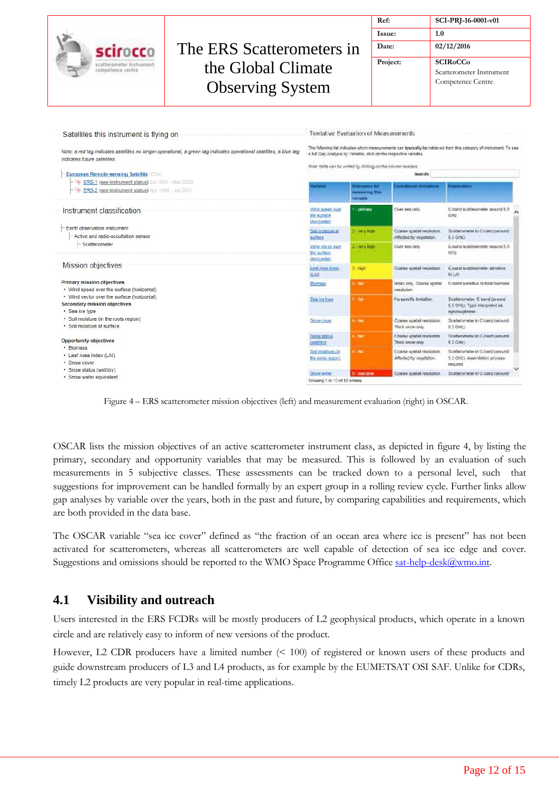|                                                                                                                                                                                                                                                                                                                                                |                                                                                                                      |                                                           | Ref:                                                                                                                                                                      |                                                      | SCI-PRJ-16-0001-v01                                                                                                 |
|------------------------------------------------------------------------------------------------------------------------------------------------------------------------------------------------------------------------------------------------------------------------------------------------------------------------------------------------|----------------------------------------------------------------------------------------------------------------------|-----------------------------------------------------------|---------------------------------------------------------------------------------------------------------------------------------------------------------------------------|------------------------------------------------------|---------------------------------------------------------------------------------------------------------------------|
|                                                                                                                                                                                                                                                                                                                                                |                                                                                                                      |                                                           | Issue:                                                                                                                                                                    |                                                      | 1.0                                                                                                                 |
| scirocco                                                                                                                                                                                                                                                                                                                                       | The ERS Scatterometers in                                                                                            |                                                           | Date:                                                                                                                                                                     |                                                      | 02/12/2016                                                                                                          |
| scatterometer instrumen<br>competence centre                                                                                                                                                                                                                                                                                                   | the Global Climate<br><b>Observing System</b>                                                                        |                                                           |                                                                                                                                                                           | Project:                                             | <b>SCIRoCCo</b><br>Scatterometer Instrument<br>Competence Centre                                                    |
| Satellites this instrument is flying on<br>indicates future satellites<br><b>European Remote-sensing Satellite (ESA)</b>                                                                                                                                                                                                                       | Note: a red tag indicates satellites no longer operational, a green tag indicates operational satellites, a blue tag |                                                           | Tentative Evaluation of Measurements<br>a full Gap Analysis by Variable, click on the respective variable.<br>Note: table can be sorted by clicking on the column headers | Search:                                              | The following list indicates which measurements can typically be retrieved from this category of instrument. To see |
| ERS-1 (see instrument status) Jul 1991 - Mar 2000<br>ERS-2 (see instrument status) Apr 1995 - Jul 2011                                                                                                                                                                                                                                         |                                                                                                                      | <b>artatus</b>                                            | sissuance for<br><b>Insanuring this</b><br>variable                                                                                                                       | <b>Policy atlasment beneficiations</b>               | <b>SELANATUR</b>                                                                                                    |
| Instrument classification                                                                                                                                                                                                                                                                                                                      |                                                                                                                      | With Scene put<br>the surface<br>(hockortal)              | - permany                                                                                                                                                                 | Over sea only                                        | C-band scatterometer around 5.3<br><b>GHB</b>                                                                       |
| Earth observation instrument<br>Active and radio-occultation sensor                                                                                                                                                                                                                                                                            |                                                                                                                      | Soil molature at<br>surface                               | 2 may high-                                                                                                                                                               | Coarse spatial resolution<br>Affected by vegetation. | Scatterometer in C-band (around<br>6.3 GHz)                                                                         |
| Scatterometer                                                                                                                                                                                                                                                                                                                                  |                                                                                                                      | Visito & Lette Los Antes<br><b>BOUNDARY</b><br>(haccorda) | 2 Electry height                                                                                                                                                          | Over sea only.                                       | G-band scattmometer ansuret 5.3<br><b>GHI</b>                                                                       |
| <b>Mission objectives</b>                                                                                                                                                                                                                                                                                                                      |                                                                                                                      | Leaf Area Index<br><b>ILAD</b>                            | 3. high                                                                                                                                                                   | Costes soyiel resolution                             | C.band scatteromater sensitive<br>始心                                                                                |
| <b>Primary mission objectives</b><br>• Wind speed over the surface (horizontal)<br>• Wind vector over the surface (horizontal)<br>Secondary mission objectives<br>· Sea-ice type<br>· Soil moisture (in the roots region)<br>· Soil moisture at surface<br><b>Opportunity objectives</b><br>Biomass<br>• Leaf Area Index (LAI)<br>· Snow cover |                                                                                                                      | <b>Blorysta</b>                                           | Literat                                                                                                                                                                   | Index only. Coarse spatial<br>mschifon.              | C-band serialtive to total biomass                                                                                  |
|                                                                                                                                                                                                                                                                                                                                                |                                                                                                                      | Sea-kit type                                              | <b>Chair</b>                                                                                                                                                              | No specific Imitation.                               | Scatterometer. C-band (around)<br>5.3 GHz). Type interpreted as<br>reportsupheress                                  |
|                                                                                                                                                                                                                                                                                                                                                |                                                                                                                      | Snow cover                                                | <b>Lider</b>                                                                                                                                                              | Coarse scatial resolution.<br>Thick show only        | Scatterometer in C-band (around)<br>530Hz                                                                           |
|                                                                                                                                                                                                                                                                                                                                                |                                                                                                                      | Snow status<br>(immt/day)                                 | <b>La finan</b>                                                                                                                                                           | Coarse sowial resolution<br>Thick snow only.         | Scatterometer in C-band (around)<br>5.3 CHz)                                                                        |
|                                                                                                                                                                                                                                                                                                                                                |                                                                                                                      |                                                           | <b>Littles</b>                                                                                                                                                            | Coarse spatial resolution.                           | Scatterometer in C-band caround                                                                                     |
| · Snow status (wet/dry)                                                                                                                                                                                                                                                                                                                        |                                                                                                                      | Soil moistuisi (in<br>the roots region)                   |                                                                                                                                                                           | Affected by vegetation.                              | 5.3 GHz). Assimilation process<br><b>ERROR ERRY</b>                                                                 |

Figure 4 – ERS scatterometer mission objectives (left) and measurement evaluation (right) in OSCAR.

OSCAR lists the mission objectives of an active scatterometer instrument class, as depicted in figure 4, by listing the primary, secondary and opportunity variables that may be measured. This is followed by an evaluation of such measurements in 5 subjective classes. These assessments can be tracked down to a personal level, such that suggestions for improvement can be handled formally by an expert group in a rolling review cycle. Further links allow gap analyses by variable over the years, both in the past and future, by comparing capabilities and requirements, which are both provided in the data base.

The OSCAR variable "sea ice cover" defined as "the fraction of an ocean area where ice is present" has not been activated for scatterometers, whereas all scatterometers are well capable of detection of sea ice edge and cover. Suggestions and omissions should be reported to the WMO Space Programme Office [sat-help-desk@wmo.int.](mailto:sat-help-desk@wmo.int)

#### <span id="page-11-0"></span>**4.1 Visibility and outreach**

Users interested in the ERS FCDRs will be mostly producers of L2 geophysical products, which operate in a known circle and are relatively easy to inform of new versions of the product.

However, L2 CDR producers have a limited number (< 100) of registered or known users of these products and guide downstream producers of L3 and L4 products, as for example by the EUMETSAT OSI SAF. Unlike for CDRs, timely L2 products are very popular in real-time applications.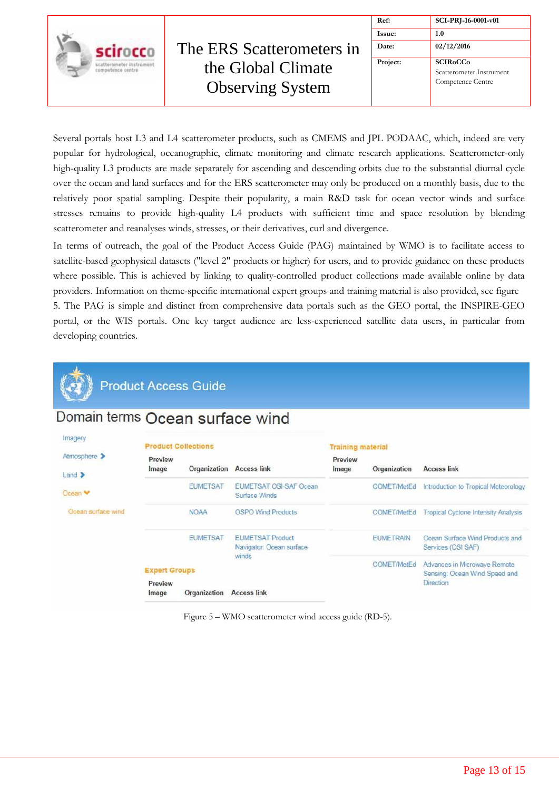

| Ref:     | SCI-PRJ-16-0001-v01                                              |
|----------|------------------------------------------------------------------|
| Issue:   | 1.0                                                              |
| Date:    | 02/12/2016                                                       |
| Project: | <b>SCIRoCCo</b><br>Scatterometer Instrument<br>Competence Centre |

Several portals host L3 and L4 scatterometer products, such as CMEMS and JPL PODAAC, which, indeed are very popular for hydrological, oceanographic, climate monitoring and climate research applications. Scatterometer-only high-quality L3 products are made separately for ascending and descending orbits due to the substantial diurnal cycle over the ocean and land surfaces and for the ERS scatterometer may only be produced on a monthly basis, due to the relatively poor spatial sampling. Despite their popularity, a main R&D task for ocean vector winds and surface stresses remains to provide high-quality L4 products with sufficient time and space resolution by blending scatterometer and reanalyses winds, stresses, or their derivatives, curl and divergence.

In terms of outreach, the goal of the Product Access Guide (PAG) maintained by WMO is to facilitate access to satellite-based geophysical datasets ("level 2" products or higher) for users, and to provide guidance on these products where possible. This is achieved by linking to quality-controlled product collections made available online by data providers. Information on theme-specific international expert groups and training material is also provided, see figure 5. The PAG is simple and distinct from comprehensive data portals such as the GEO portal, the INSPIRE-GEO portal, or the WIS portals. One key target audience are less-experienced satellite data users, in particular from developing countries.



## **Product Access Guide**

### Domain terms Ocean surface wind

| Imagery                        | <b>Product Collections</b> |                           |                                                     | <b>Training material</b> |                                                               |                                                       |
|--------------------------------|----------------------------|---------------------------|-----------------------------------------------------|--------------------------|---------------------------------------------------------------|-------------------------------------------------------|
| Atmosphere ><br>$L$ and $\geq$ | Preview<br>Image           | Organization              | <b>Access link</b>                                  | Preview<br>Image         | Organization                                                  | <b>Access link</b>                                    |
| Ocean <sup>v</sup>             |                            | <b>EUMETSAT</b>           | <b>EUMETSAT OSI-SAF Ocean</b><br>Surface Winds      |                          | <b>COMET/MetEd</b>                                            | Introduction to Tropical Meteorology                  |
| Ocean surface wind             | <b>NOAA</b>                | <b>OSPO Wind Products</b> |                                                     | <b>COMET/MetEd</b>       | <b>Tropical Cyclone Intensity Analysis</b>                    |                                                       |
|                                |                            | <b>EUMETSAT</b>           | <b>EUMETSAT Product</b><br>Navigator: Ocean surface |                          | <b>EUMETRAIN</b>                                              | Ocean Surface Wind Products and<br>Services (OSI SAF) |
|                                | <b>Expert Groups</b>       | winds                     |                                                     | <b>COMET/MetEd</b>       | Advances in Microwave Remote<br>Sensing: Ocean Wind Speed and |                                                       |
|                                | Preview<br>Image           | Organization              | <b>Access link</b>                                  |                          |                                                               | Direction                                             |

Figure 5 – WMO scatterometer wind access guide (RD-5).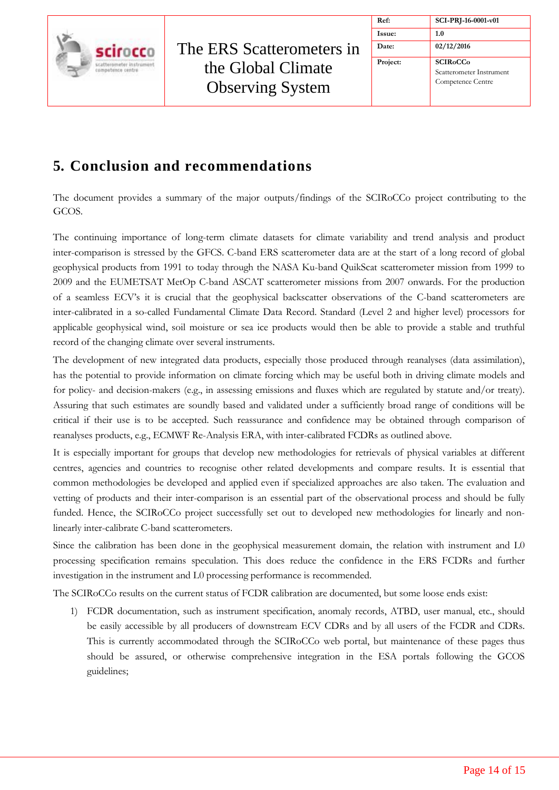

| Ref:     | SCI-PRJ-16-0001-v01                                                                    |
|----------|----------------------------------------------------------------------------------------|
| Issue:   | 1.0                                                                                    |
| Date:    | 02/12/2016                                                                             |
| Project: | <b>SCIR<sub>o</sub>CC<sub>o</sub></b><br>Scatterometer Instrument<br>Competence Centre |

## <span id="page-13-0"></span>**5. Conclusion and recommendations**

The document provides a summary of the major outputs/findings of the SCIRoCCo project contributing to the GCOS.

The continuing importance of long-term climate datasets for climate variability and trend analysis and product inter-comparison is stressed by the GFCS. C-band ERS scatterometer data are at the start of a long record of global geophysical products from 1991 to today through the NASA Ku-band QuikScat scatterometer mission from 1999 to 2009 and the EUMETSAT MetOp C-band ASCAT scatterometer missions from 2007 onwards. For the production of a seamless ECV's it is crucial that the geophysical backscatter observations of the C-band scatterometers are inter-calibrated in a so-called Fundamental Climate Data Record. Standard (Level 2 and higher level) processors for applicable geophysical wind, soil moisture or sea ice products would then be able to provide a stable and truthful record of the changing climate over several instruments.

The development of new integrated data products, especially those produced through reanalyses (data assimilation), has the potential to provide information on climate forcing which may be useful both in driving climate models and for policy- and decision-makers (e.g., in assessing emissions and fluxes which are regulated by statute and/or treaty). Assuring that such estimates are soundly based and validated under a sufficiently broad range of conditions will be critical if their use is to be accepted. Such reassurance and confidence may be obtained through comparison of reanalyses products, e.g., ECMWF Re-Analysis ERA, with inter-calibrated FCDRs as outlined above.

It is especially important for groups that develop new methodologies for retrievals of physical variables at different centres, agencies and countries to recognise other related developments and compare results. It is essential that common methodologies be developed and applied even if specialized approaches are also taken. The evaluation and vetting of products and their inter-comparison is an essential part of the observational process and should be fully funded. Hence, the SCIRoCCo project successfully set out to developed new methodologies for linearly and nonlinearly inter-calibrate C-band scatterometers.

Since the calibration has been done in the geophysical measurement domain, the relation with instrument and L0 processing specification remains speculation. This does reduce the confidence in the ERS FCDRs and further investigation in the instrument and L0 processing performance is recommended.

The SCIRoCCo results on the current status of FCDR calibration are documented, but some loose ends exist:

1) FCDR documentation, such as instrument specification, anomaly records, ATBD, user manual, etc., should be easily accessible by all producers of downstream ECV CDRs and by all users of the FCDR and CDRs. This is currently accommodated through the SCIRoCCo web portal, but maintenance of these pages thus should be assured, or otherwise comprehensive integration in the ESA portals following the GCOS guidelines;